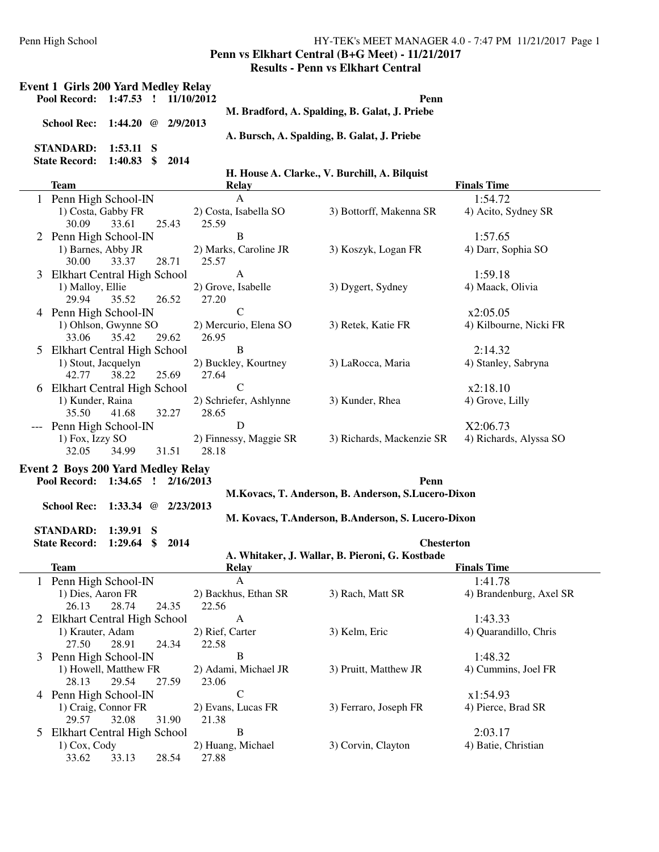#### Penn High School HY-TEK's MEET MANAGER 4.0 - 7:47 PM 11/21/2017 Page 1 **Penn vs Elkhart Central (B+G Meet) - 11/21/2017 Results - Penn vs Elkhart Central**

|   | <b>Event 1 Girls 200 Yard Medley Relay</b><br>Pool Record: 1:47.53 ! 11/10/2012 |                                      | Penn                                               |                                    |  |  |  |  |  |
|---|---------------------------------------------------------------------------------|--------------------------------------|----------------------------------------------------|------------------------------------|--|--|--|--|--|
|   |                                                                                 |                                      | M. Bradford, A. Spalding, B. Galat, J. Priebe      |                                    |  |  |  |  |  |
|   | <b>School Rec:</b><br>1:44.20 @ $2/9/2013$                                      |                                      | A. Bursch, A. Spalding, B. Galat, J. Priebe        |                                    |  |  |  |  |  |
|   | <b>STANDARD:</b><br>$1:53.11$ S                                                 |                                      |                                                    |                                    |  |  |  |  |  |
|   | $\mathbf{\$}$<br><b>State Record:</b><br>1:40.83<br>2014                        |                                      |                                                    |                                    |  |  |  |  |  |
|   | <b>Team</b>                                                                     | <b>Relay</b>                         | H. House A. Clarke., V. Burchill, A. Bilquist      | <b>Finals Time</b>                 |  |  |  |  |  |
|   | 1 Penn High School-IN                                                           | $\mathbf{A}$                         |                                                    | 1:54.72                            |  |  |  |  |  |
|   | 1) Costa, Gabby FR<br>30.09<br>33.61<br>25.43                                   | 2) Costa, Isabella SO<br>25.59       | 3) Bottorff, Makenna SR                            | 4) Acito, Sydney SR                |  |  |  |  |  |
|   | 2 Penn High School-IN                                                           | $\, {\bf B}$                         |                                                    | 1:57.65                            |  |  |  |  |  |
|   | 1) Barnes, Abby JR<br>28.71<br>30.00<br>33.37                                   | 2) Marks, Caroline JR<br>25.57       | 3) Koszyk, Logan FR                                | 4) Darr, Sophia SO                 |  |  |  |  |  |
| 3 | Elkhart Central High School                                                     | A                                    |                                                    | 1:59.18                            |  |  |  |  |  |
|   | 1) Malloy, Ellie<br>29.94<br>35.52<br>26.52                                     | 2) Grove, Isabelle<br>27.20          | 3) Dygert, Sydney                                  | 4) Maack, Olivia                   |  |  |  |  |  |
| 4 | Penn High School-IN                                                             | $\mathsf{C}$                         |                                                    | x2:05.05                           |  |  |  |  |  |
|   | 1) Ohlson, Gwynne SO<br>33.06<br>35.42<br>29.62                                 | 2) Mercurio, Elena SO<br>26.95       | 3) Retek, Katie FR                                 | 4) Kilbourne, Nicki FR             |  |  |  |  |  |
| 5 | Elkhart Central High School                                                     | B                                    |                                                    | 2:14.32                            |  |  |  |  |  |
|   | 1) Stout, Jacquelyn<br>42.77<br>38.22<br>25.69                                  | 2) Buckley, Kourtney<br>27.64        | 3) LaRocca, Maria                                  | 4) Stanley, Sabryna                |  |  |  |  |  |
| 6 | Elkhart Central High School                                                     | $\mathcal{C}$                        |                                                    | x2:18.10                           |  |  |  |  |  |
|   | 1) Kunder, Raina<br>35.50<br>32.27<br>41.68                                     | 2) Schriefer, Ashlynne<br>28.65      | 3) Kunder, Rhea                                    | 4) Grove, Lilly                    |  |  |  |  |  |
|   | Penn High School-IN<br>1) Fox, Izzy SO<br>32.05<br>34.99<br>31.51               | D<br>2) Finnessy, Maggie SR<br>28.18 | 3) Richards, Mackenzie SR                          | X2:06.73<br>4) Richards, Alyssa SO |  |  |  |  |  |
|   | <b>Event 2 Boys 200 Yard Medley Relay</b><br>Pool Record: 1:34.65 ! 2/16/2013   |                                      | Penn                                               |                                    |  |  |  |  |  |
|   |                                                                                 |                                      | M.Kovacs, T. Anderson, B. Anderson, S.Lucero-Dixon |                                    |  |  |  |  |  |
|   | <b>School Rec:</b><br>1:33.34 $\omega$ 2/23/2013                                |                                      |                                                    |                                    |  |  |  |  |  |
|   | <b>STANDARD:</b><br>$1:39.91$ S                                                 |                                      | M. Kovacs, T.Anderson, B.Anderson, S. Lucero-Dixon |                                    |  |  |  |  |  |
|   | <b>State Record:</b><br>1:29.64<br>\$<br>2014                                   |                                      | <b>Chesterton</b>                                  |                                    |  |  |  |  |  |
|   | <u>Team</u>                                                                     | Relay                                | A. Whitaker, J. Wallar, B. Pieroni, G. Kostbade    | <b>Finals Time</b>                 |  |  |  |  |  |
|   | Penn High School-IN                                                             | A                                    |                                                    | 1:41.78                            |  |  |  |  |  |
|   | 1) Dies, Aaron FR<br>28.74<br>24.35<br>26.13                                    | 2) Backhus, Ethan SR<br>22.56        | 3) Rach, Matt SR                                   | 4) Brandenburg, Axel SR            |  |  |  |  |  |
|   | 2 Elkhart Central High School                                                   | A                                    |                                                    | 1:43.33                            |  |  |  |  |  |
|   | 1) Krauter, Adam<br>27.50<br>24.34<br>28.91                                     | 2) Rief, Carter<br>22.58             | 3) Kelm, Eric                                      | 4) Quarandillo, Chris              |  |  |  |  |  |
| 3 | Penn High School-IN<br>1) Howell, Matthew FR<br>28.13<br>29.54<br>27.59         | B<br>2) Adami, Michael JR<br>23.06   | 3) Pruitt, Matthew JR                              | 1:48.32<br>4) Cummins, Joel FR     |  |  |  |  |  |
|   | 4 Penn High School-IN                                                           | $\mathcal{C}$                        |                                                    | x1:54.93                           |  |  |  |  |  |
|   | 1) Craig, Connor FR<br>29.57<br>32.08<br>31.90                                  | 2) Evans, Lucas FR<br>21.38          | 3) Ferraro, Joseph FR                              | 4) Pierce, Brad SR                 |  |  |  |  |  |
| 5 | Elkhart Central High School                                                     | $\, {\bf B}$                         |                                                    | 2:03.17                            |  |  |  |  |  |
|   |                                                                                 | 2) Huang, Michael                    | 3) Corvin, Clayton                                 | 4) Batie, Christian                |  |  |  |  |  |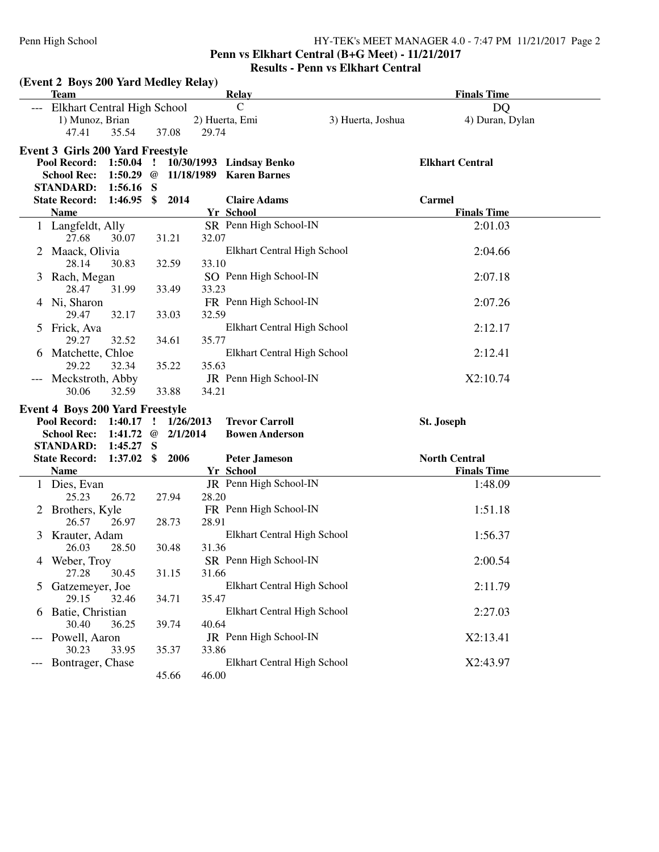# **Penn vs Elkhart Central (B+G Meet) - 11/21/2017**

|                | (Event 2 Boys 200 Yard Medley Relay)    |                                 |              |           |       |                                                 |                   |                        |  |
|----------------|-----------------------------------------|---------------------------------|--------------|-----------|-------|-------------------------------------------------|-------------------|------------------------|--|
|                | <b>Team</b>                             |                                 |              |           |       | <b>Relay</b>                                    |                   | <b>Finals Time</b>     |  |
|                | Elkhart Central High School             |                                 |              |           |       | $\mathsf{C}$                                    |                   | <b>DQ</b>              |  |
|                | 1) Munoz, Brian                         |                                 |              |           |       | 2) Huerta, Emi                                  | 3) Huerta, Joshua | 4) Duran, Dylan        |  |
|                | 47.41                                   | 35.54                           |              | 37.08     | 29.74 |                                                 |                   |                        |  |
|                | <b>Event 3 Girls 200 Yard Freestyle</b> |                                 |              |           |       |                                                 |                   |                        |  |
|                |                                         |                                 |              |           |       | Pool Record: 1:50.04 ! 10/30/1993 Lindsay Benko |                   | <b>Elkhart Central</b> |  |
|                | <b>School Rec:</b>                      |                                 |              |           |       | 1:50.29 @ 11/18/1989 Karen Barnes               |                   |                        |  |
|                | <b>STANDARD:</b>                        | $1:56.16$ S                     |              |           |       |                                                 |                   |                        |  |
|                | <b>State Record:</b>                    | $1:46.95$ \$ 2014               |              |           |       | <b>Claire Adams</b>                             |                   | <b>Carmel</b>          |  |
|                | <b>Name</b>                             |                                 |              |           |       | Yr School                                       |                   | <b>Finals Time</b>     |  |
|                | 1 Langfeldt, Ally                       |                                 |              |           |       | SR Penn High School-IN                          |                   | 2:01.03                |  |
|                | 27.68                                   | 30.07                           |              | 31.21     | 32.07 |                                                 |                   |                        |  |
|                | Maack, Olivia                           |                                 |              |           |       | Elkhart Central High School                     |                   | 2:04.66                |  |
|                | 28.14                                   | 30.83                           |              | 32.59     | 33.10 |                                                 |                   |                        |  |
| 3              | Rach, Megan                             |                                 |              |           |       | SO Penn High School-IN                          |                   | 2:07.18                |  |
|                | 28.47                                   | 31.99                           |              | 33.49     | 33.23 |                                                 |                   |                        |  |
|                | 4 Ni, Sharon                            |                                 |              |           |       | FR Penn High School-IN                          |                   | 2:07.26                |  |
|                | 29.47                                   | 32.17                           |              | 33.03     | 32.59 |                                                 |                   |                        |  |
| 5              | Frick, Ava                              |                                 |              |           |       | Elkhart Central High School                     |                   | 2:12.17                |  |
|                | 29.27                                   | 32.52                           |              | 34.61     | 35.77 |                                                 |                   |                        |  |
| 6              | Matchette, Chloe                        |                                 |              |           |       | Elkhart Central High School                     |                   | 2:12.41                |  |
|                | 29.22                                   | 32.34                           |              | 35.22     | 35.63 |                                                 |                   |                        |  |
|                | Meckstroth, Abby                        |                                 |              |           |       | JR Penn High School-IN                          |                   | X2:10.74               |  |
|                | 30.06                                   | 32.59                           |              | 33.88     | 34.21 |                                                 |                   |                        |  |
|                | <b>Event 4 Boys 200 Yard Freestyle</b>  |                                 |              |           |       |                                                 |                   |                        |  |
|                | Pool Record: 1:40.17                    |                                 | $\mathbf{r}$ | 1/26/2013 |       | <b>Trevor Carroll</b>                           |                   | St. Joseph             |  |
|                | <b>School Rec:</b>                      | 1:41.72 $\circledcirc$ 2/1/2014 |              |           |       | <b>Bowen Anderson</b>                           |                   |                        |  |
|                | <b>STANDARD:</b>                        | 1:45.27                         | S            |           |       |                                                 |                   |                        |  |
|                | <b>State Record:</b>                    | $1:37.02 \quad $2006$           |              |           |       | <b>Peter Jameson</b>                            |                   | <b>North Central</b>   |  |
|                | <b>Name</b>                             |                                 |              |           |       | Yr School                                       |                   | <b>Finals Time</b>     |  |
|                | 1 Dies, Evan                            |                                 |              |           |       | JR Penn High School-IN                          |                   | 1:48.09                |  |
|                | 25.23                                   | 26.72                           |              | 27.94     | 28.20 |                                                 |                   |                        |  |
|                | 2 Brothers, Kyle                        |                                 |              |           |       | FR Penn High School-IN                          |                   | 1:51.18                |  |
|                | 26.57                                   | 26.97                           |              | 28.73     | 28.91 |                                                 |                   |                        |  |
| 3              | Krauter, Adam                           |                                 |              |           |       | Elkhart Central High School                     |                   | 1:56.37                |  |
|                | 26.03                                   | 28.50                           |              | 30.48     | 31.36 |                                                 |                   |                        |  |
| 4              | Weber, Troy                             |                                 |              |           |       | SR Penn High School-IN                          |                   | 2:00.54                |  |
|                | 27.28                                   | 30.45                           |              | 31.15     | 31.66 |                                                 |                   |                        |  |
| 5 <sup>5</sup> | Gatzemeyer, Joe                         |                                 |              |           |       | Elkhart Central High School                     |                   | 2:11.79                |  |
|                | 29.15                                   | 32.46                           |              | 34.71     | 35.47 |                                                 |                   |                        |  |
| 6              | Batie, Christian                        |                                 |              |           |       | Elkhart Central High School                     |                   | 2:27.03                |  |
|                | 30.40                                   | 36.25                           |              | 39.74     | 40.64 |                                                 |                   |                        |  |
|                | Powell, Aaron                           |                                 |              |           |       | JR Penn High School-IN                          |                   | X2:13.41               |  |
|                | 30.23                                   | 33.95                           |              | 35.37     | 33.86 |                                                 |                   |                        |  |
|                | Bontrager, Chase                        |                                 |              |           |       | Elkhart Central High School                     |                   | X2:43.97               |  |
|                |                                         |                                 |              | 45.66     | 46.00 |                                                 |                   |                        |  |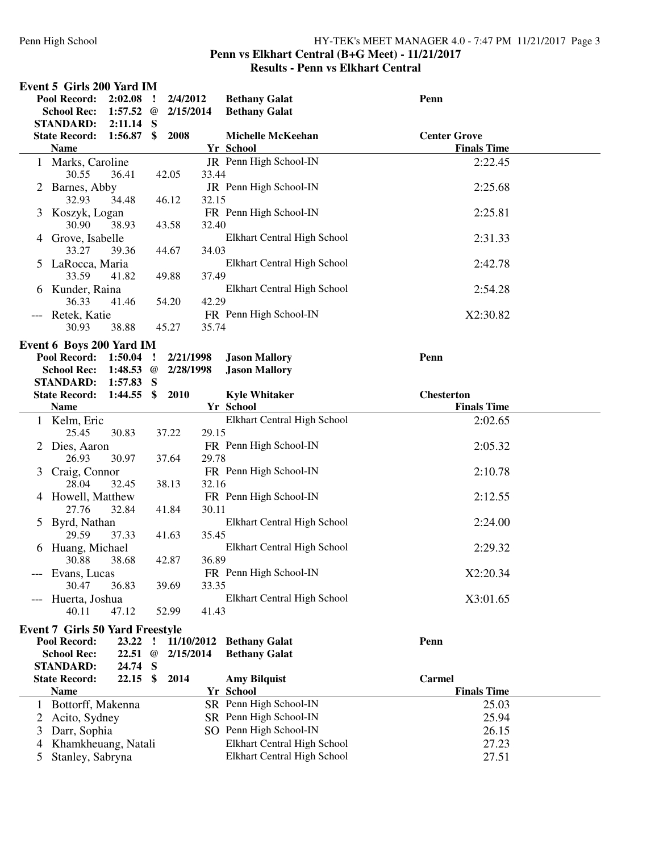#### Penn High School HY-TEK's MEET MANAGER 4.0 - 7:47 PM 11/21/2017 Page 3 **Penn vs Elkhart Central (B+G Meet) - 11/21/2017**

|               | Event 5 Girls 200 Yard IM                |                             |               |                       |       |                                              |                     |
|---------------|------------------------------------------|-----------------------------|---------------|-----------------------|-------|----------------------------------------------|---------------------|
|               | Pool Record:<br><b>School Rec:</b>       | 2:02.08<br>1:57.52 $\omega$ | - 1           | 2/4/2012<br>2/15/2014 |       | <b>Bethany Galat</b><br><b>Bethany Galat</b> | Penn                |
|               | <b>STANDARD:</b><br><b>State Record:</b> | $2:11.14$ S<br>1:56.87      | \$            | 2008                  |       | <b>Michelle McKeehan</b>                     | <b>Center Grove</b> |
|               | <b>Name</b>                              |                             |               |                       |       | Yr School                                    | <b>Finals Time</b>  |
|               | 1 Marks, Caroline                        |                             |               |                       |       | JR Penn High School-IN                       | 2:22.45             |
|               | 30.55                                    | 36.41                       |               | 42.05                 | 33.44 |                                              |                     |
| 2             | Barnes, Abby                             |                             |               |                       |       | JR Penn High School-IN                       | 2:25.68             |
|               | 32.93                                    | 34.48                       |               | 46.12                 | 32.15 |                                              |                     |
| 3             | Koszyk, Logan                            |                             |               |                       |       | FR Penn High School-IN                       | 2:25.81             |
|               | 30.90                                    | 38.93                       |               | 43.58                 | 32.40 |                                              |                     |
| 4             | Grove, Isabelle                          |                             |               |                       |       | Elkhart Central High School                  | 2:31.33             |
|               | 33.27                                    | 39.36                       |               | 44.67                 | 34.03 |                                              |                     |
| $\mathcal{L}$ | LaRocca, Maria                           |                             |               |                       |       | Elkhart Central High School                  | 2:42.78             |
|               | 33.59                                    | 41.82                       |               | 49.88                 | 37.49 |                                              |                     |
|               | 6 Kunder, Raina                          |                             |               |                       |       | Elkhart Central High School                  | 2:54.28             |
|               | 36.33                                    | 41.46                       |               | 54.20                 | 42.29 |                                              |                     |
|               | Retek, Katie                             |                             |               |                       |       | FR Penn High School-IN                       | X2:30.82            |
|               | 30.93                                    | 38.88                       |               | 45.27                 | 35.74 |                                              |                     |
|               | Event 6 Boys 200 Yard IM                 |                             |               |                       |       |                                              |                     |
|               | Pool Record: 1:50.04                     |                             | $\cdot$ !     | 2/21/1998             |       | <b>Jason Mallory</b>                         | Penn                |
|               | <b>School Rec:</b>                       | 1:48.53 $\omega$            |               | 2/28/1998             |       | <b>Jason Mallory</b>                         |                     |
|               | <b>STANDARD:</b>                         | 1:57.83 S                   |               |                       |       |                                              |                     |
|               | <b>State Record:</b>                     | 1:44.55                     | $\mathbf{\$}$ | 2010                  |       | <b>Kyle Whitaker</b>                         | <b>Chesterton</b>   |
|               | <b>Name</b>                              |                             |               |                       |       | Yr School                                    | <b>Finals Time</b>  |
|               | 1 Kelm, Eric                             |                             |               |                       |       | Elkhart Central High School                  | 2:02.65             |
|               | 25.45                                    | 30.83                       |               | 37.22                 | 29.15 |                                              |                     |
|               | Dies, Aaron                              |                             |               |                       |       | FR Penn High School-IN                       | 2:05.32             |
|               | 26.93                                    | 30.97                       |               | 37.64                 | 29.78 |                                              |                     |
| 3             | Craig, Connor                            |                             |               |                       |       | FR Penn High School-IN                       | 2:10.78             |
|               | 28.04                                    | 32.45                       |               | 38.13                 | 32.16 |                                              |                     |
|               | 4 Howell, Matthew                        |                             |               |                       |       | FR Penn High School-IN                       | 2:12.55             |
|               | 27.76                                    | 32.84                       |               | 41.84                 | 30.11 |                                              |                     |
| $\mathcal{L}$ | Byrd, Nathan                             |                             |               |                       |       | Elkhart Central High School                  | 2:24.00             |
|               | 29.59                                    | 37.33                       |               | 41.63                 | 35.45 |                                              |                     |
|               | 6 Huang, Michael<br>30.88 38.68          |                             |               |                       | 36.89 | Elkhart Central High School                  | 2:29.32             |
|               |                                          |                             |               | 42.87                 |       | FR Penn High School-IN                       | X2:20.34            |
|               | Evans, Lucas<br>30.47                    | 36.83                       |               | 39.69                 | 33.35 |                                              |                     |
|               | Huerta, Joshua                           |                             |               |                       |       | Elkhart Central High School                  | X3:01.65            |
|               | 40.11                                    | 47.12                       |               | 52.99                 | 41.43 |                                              |                     |
|               |                                          |                             |               |                       |       |                                              |                     |
|               | <b>Event 7 Girls 50 Yard Freestyle</b>   |                             |               |                       |       |                                              |                     |
|               | Pool Record:                             | 23.22                       | $\mathbf{I}$  |                       |       | 11/10/2012 Bethany Galat                     | Penn                |
|               | <b>School Rec:</b>                       | 22.51 $@$                   |               | 2/15/2014             |       | <b>Bethany Galat</b>                         |                     |
|               | <b>STANDARD:</b>                         | 24.74 S                     |               |                       |       |                                              |                     |
|               | <b>State Record:</b>                     | $22.15$ \$                  |               | 2014                  |       | <b>Amy Bilquist</b>                          | <b>Carmel</b>       |
|               | <b>Name</b>                              |                             |               |                       |       | Yr School                                    | <b>Finals Time</b>  |
|               | 1 Bottorff, Makenna                      |                             |               |                       |       | SR Penn High School-IN                       | 25.03               |
| 2             | Acito, Sydney                            |                             |               |                       |       | SR Penn High School-IN                       | 25.94               |
| 3             | Darr, Sophia                             |                             |               |                       |       | SO Penn High School-IN                       | 26.15               |
| 4             | Khamkheuang, Natali                      |                             |               |                       |       | Elkhart Central High School                  | 27.23               |
| 5             | Stanley, Sabryna                         |                             |               |                       |       | Elkhart Central High School                  | 27.51               |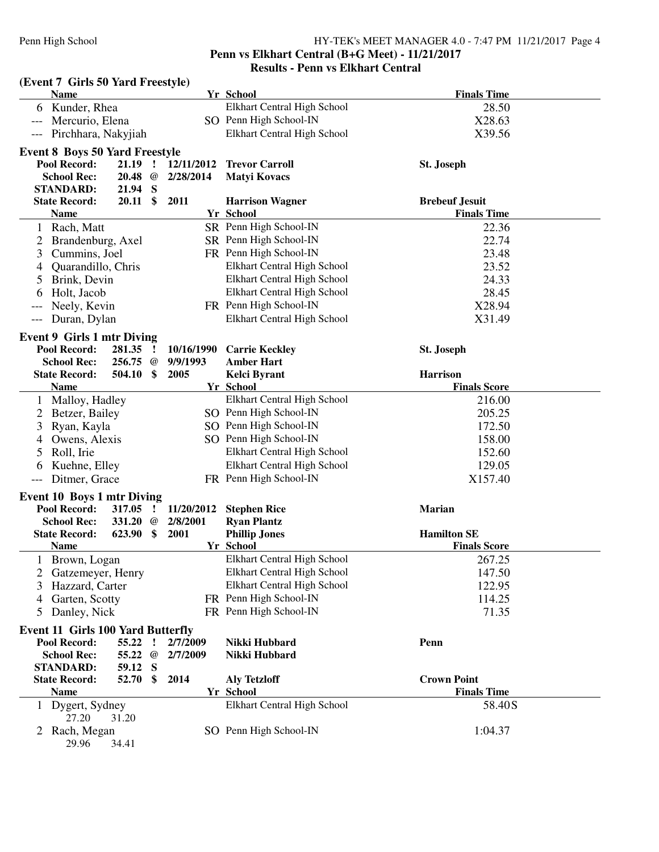# **Penn vs Elkhart Central (B+G Meet) - 11/21/2017**

| (Event 7 Girls 50 Yard Freestyle)        |                     |               |            |                                  |                       |
|------------------------------------------|---------------------|---------------|------------|----------------------------------|-----------------------|
| <b>Name</b>                              |                     |               |            | Yr School                        | <b>Finals Time</b>    |
| Kunder, Rhea<br>6                        |                     |               |            | Elkhart Central High School      | 28.50                 |
| Mercurio, Elena                          |                     |               |            | SO Penn High School-IN           | X28.63                |
| Pirchhara, Nakyjiah                      |                     |               |            | Elkhart Central High School      | X39.56                |
| <b>Event 8 Boys 50 Yard Freestyle</b>    |                     |               |            |                                  |                       |
| Pool Record:                             | $21.19$ !           |               | 12/11/2012 | <b>Trevor Carroll</b>            | St. Joseph            |
| <b>School Rec:</b>                       | $20.48 \quad @$     |               | 2/28/2014  | <b>Matyi Kovacs</b>              |                       |
| <b>STANDARD:</b>                         | 21.94 S             |               |            |                                  |                       |
| <b>State Record:</b>                     | $20.11 \text{ }$ \$ |               | 2011       | <b>Harrison Wagner</b>           | <b>Brebeuf Jesuit</b> |
| <b>Name</b>                              |                     |               |            | <b>Yr School</b>                 | <b>Finals Time</b>    |
| Rach, Matt<br>$\perp$                    |                     |               |            | SR Penn High School-IN           | 22.36                 |
| 2<br>Brandenburg, Axel                   |                     |               |            | SR Penn High School-IN           | 22.74                 |
| Cummins, Joel<br>3                       |                     |               |            | FR Penn High School-IN           | 23.48                 |
| Quarandillo, Chris<br>4                  |                     |               |            | Elkhart Central High School      | 23.52                 |
| Brink, Devin<br>5                        |                     |               |            | Elkhart Central High School      | 24.33                 |
| Holt, Jacob<br>6                         |                     |               |            | Elkhart Central High School      | 28.45                 |
| Neely, Kevin<br>$---$                    |                     |               |            | FR Penn High School-IN           | X28.94                |
| Duran, Dylan<br>---                      |                     |               |            | Elkhart Central High School      | X31.49                |
|                                          |                     |               |            |                                  |                       |
| <b>Event 9 Girls 1 mtr Diving</b>        |                     |               |            |                                  |                       |
| Pool Record:                             | 281.35 !            |               | 10/16/1990 | <b>Carrie Keckley</b>            | St. Joseph            |
| <b>School Rec:</b>                       | 256.75 @            |               | 9/9/1993   | <b>Amber Hart</b>                |                       |
| <b>State Record:</b>                     | 504.10              | $\mathbf{\$}$ | 2005       | <b>Kelci Byrant</b>              | <b>Harrison</b>       |
| <b>Name</b>                              |                     |               |            | Yr School                        | <b>Finals Score</b>   |
| 1 Malloy, Hadley                         |                     |               |            | Elkhart Central High School      | 216.00                |
| Betzer, Bailey<br>2                      |                     |               |            | SO Penn High School-IN           | 205.25                |
| Ryan, Kayla<br>3                         |                     |               |            | SO Penn High School-IN           | 172.50                |
| Owens, Alexis<br>4                       |                     |               |            | SO Penn High School-IN           | 158.00                |
| Roll, Irie<br>5                          |                     |               |            | Elkhart Central High School      | 152.60                |
| Kuehne, Elley<br>6                       |                     |               |            | Elkhart Central High School      | 129.05                |
| Ditmer, Grace<br>---                     |                     |               |            | FR Penn High School-IN           | X157.40               |
| <b>Event 10 Boys 1 mtr Diving</b>        |                     |               |            |                                  |                       |
| Pool Record:                             | 317.05              | $\mathbf{r}$  | 11/20/2012 | <b>Stephen Rice</b>              | <b>Marian</b>         |
| <b>School Rec:</b>                       | 331.20 $@$          |               | 2/8/2001   | <b>Ryan Plantz</b>               |                       |
| <b>State Record:</b>                     | 623.90 \$           |               | 2001       | <b>Phillip Jones</b>             | <b>Hamilton SE</b>    |
| <b>Name</b>                              |                     |               |            | Yr School                        | <b>Finals Score</b>   |
| 1 Brown, Logan                           |                     |               |            | Elkhart Central High School      | 267.25                |
| 2<br>Gatzemeyer, Henry                   |                     |               |            | Elkhart Central High School      | 147.50                |
| Hazzard, Carter<br>3                     |                     |               |            | Elkhart Central High School      | 122.95                |
| Garten, Scotty<br>4                      |                     |               |            | FR Penn High School-IN           | 114.25                |
| Danley, Nick<br>5                        |                     |               |            | FR Penn High School-IN           | 71.35                 |
|                                          |                     |               |            |                                  |                       |
| <b>Event 11 Girls 100 Yard Butterfly</b> |                     |               |            |                                  |                       |
| <b>Pool Record:</b>                      | 55.22               | 1             | 2/7/2009   | Nikki Hubbard                    | Penn                  |
| <b>School Rec:</b><br><b>STANDARD:</b>   | 55.22 @             |               | 2/7/2009   | Nikki Hubbard                    |                       |
| <b>State Record:</b>                     | 59.12 S<br>52.70 \$ |               | 2014       |                                  | <b>Crown Point</b>    |
| <b>Name</b>                              |                     |               |            | <b>Aly Tetzloff</b><br>Yr School | <b>Finals Time</b>    |
| 1 Dygert, Sydney                         |                     |               |            | Elkhart Central High School      | 58.40S                |
| 27.20                                    | 31.20               |               |            |                                  |                       |
| Rach, Megan<br>2                         |                     |               |            | SO Penn High School-IN           | 1:04.37               |
| 29.96                                    | 34.41               |               |            |                                  |                       |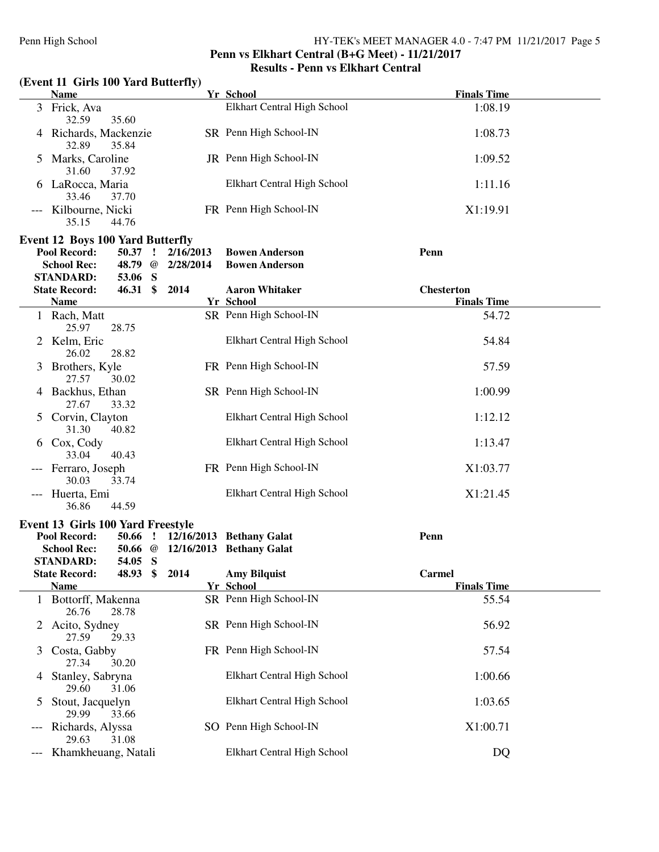## **Penn vs Elkhart Central (B+G Meet) - 11/21/2017 Results - Penn vs Elkhart Central**

# **(Event 11 Girls 100 Yard Butterfly)**

| <b>Name</b>                                                                                                                                 | Yr School                                      | <b>Finals Time</b>                      |
|---------------------------------------------------------------------------------------------------------------------------------------------|------------------------------------------------|-----------------------------------------|
| 3 Frick, Ava<br>35.60<br>32.59                                                                                                              | Elkhart Central High School                    | 1:08.19                                 |
| 4 Richards, Mackenzie<br>32.89<br>35.84                                                                                                     | SR Penn High School-IN                         | 1:08.73                                 |
| Marks, Caroline<br>$\mathcal{L}$<br>31.60<br>37.92                                                                                          | JR Penn High School-IN                         | 1:09.52                                 |
| LaRocca, Maria<br>33.46<br>37.70                                                                                                            | Elkhart Central High School                    | 1:11.16                                 |
| Kilbourne, Nicki<br>---<br>35.15<br>44.76                                                                                                   | FR Penn High School-IN                         | X1:19.91                                |
|                                                                                                                                             |                                                |                                         |
| <b>Event 12 Boys 100 Yard Butterfly</b><br>Pool Record:<br>50.37<br>$\mathbf{r}$<br>2/16/2013<br>48.79 @<br><b>School Rec:</b><br>2/28/2014 | <b>Bowen Anderson</b><br><b>Bowen Anderson</b> | Penn                                    |
| <b>STANDARD:</b><br>53.06 S                                                                                                                 |                                                |                                         |
| $46.31$ \$<br>2014<br><b>State Record:</b><br><b>Name</b>                                                                                   | <b>Aaron Whitaker</b><br>Yr School             | <b>Chesterton</b><br><b>Finals Time</b> |
| 1 Rach, Matt                                                                                                                                | SR Penn High School-IN                         | 54.72                                   |
| 25.97<br>28.75                                                                                                                              |                                                |                                         |
| 2 Kelm, Eric<br>26.02<br>28.82                                                                                                              | Elkhart Central High School                    | 54.84                                   |
| Brothers, Kyle<br>3<br>27.57<br>30.02                                                                                                       | FR Penn High School-IN                         | 57.59                                   |
| 4 Backhus, Ethan<br>27.67<br>33.32                                                                                                          | SR Penn High School-IN                         | 1:00.99                                 |
| 5 Corvin, Clayton<br>31.30<br>40.82                                                                                                         | Elkhart Central High School                    | 1:12.12                                 |
| 6 Cox, Cody<br>33.04<br>40.43                                                                                                               | Elkhart Central High School                    | 1:13.47                                 |
| Ferraro, Joseph<br>30.03<br>33.74                                                                                                           | FR Penn High School-IN                         | X1:03.77                                |
| Huerta, Emi<br>$---$<br>36.86<br>44.59                                                                                                      | Elkhart Central High School                    | X1:21.45                                |
| <b>Event 13 Girls 100 Yard Freestyle</b>                                                                                                    |                                                |                                         |
| Pool Record:<br>$50.66$ !<br>50.66 @ 12/16/2013 Bethany Galat<br><b>School Rec:</b>                                                         | 12/16/2013 Bethany Galat                       | Penn                                    |
| 54.05 S<br><b>STANDARD:</b><br>2014<br><b>State Record:</b><br>$\frac{1}{2}$<br>48.93                                                       | <b>Amy Bilquist</b>                            | <b>Carmel</b>                           |
| <b>Name</b>                                                                                                                                 | Yr School                                      | <b>Finals Time</b>                      |
| 1 Bottorff, Makenna<br>26.76<br>28.78                                                                                                       | SR Penn High School-IN                         | 55.54                                   |
| Acito, Sydney<br>2<br>27.59<br>29.33                                                                                                        | SR Penn High School-IN                         | 56.92                                   |
| Costa, Gabby<br>3<br>27.34<br>30.20                                                                                                         | FR Penn High School-IN                         | 57.54                                   |
| Stanley, Sabryna<br>4<br>29.60<br>31.06                                                                                                     | Elkhart Central High School                    | 1:00.66                                 |
| Stout, Jacquelyn<br>$\mathcal{L}$<br>29.99<br>33.66                                                                                         | Elkhart Central High School                    | 1:03.65                                 |
| Richards, Alyssa<br>---<br>29.63<br>31.08                                                                                                   | SO Penn High School-IN                         | X1:00.71                                |
| Khamkheuang, Natali                                                                                                                         | Elkhart Central High School                    | DQ                                      |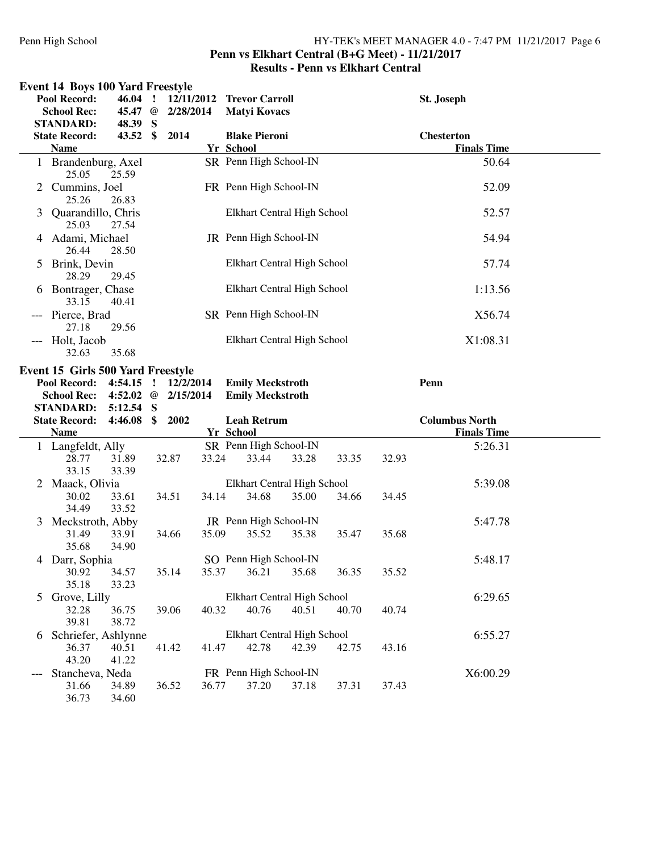#### Penn High School HY-TEK's MEET MANAGER 4.0 - 7:47 PM 11/21/2017 Page 6 **Penn vs Elkhart Central (B+G Meet) - 11/21/2017 Results - Penn vs Elkhart Central**

|   | <b>Event 14 Boys 100 Yard Freestyle</b>                  |                |         |           |       |                             |       |       |       |                       |  |
|---|----------------------------------------------------------|----------------|---------|-----------|-------|-----------------------------|-------|-------|-------|-----------------------|--|
|   | Pool Record:                                             | $46.04$ !      |         |           |       | 12/11/2012 Trevor Carroll   |       |       |       | St. Joseph            |  |
|   | <b>School Rec:</b>                                       | 45.47 @        |         | 2/28/2014 |       | <b>Matyi Kovacs</b>         |       |       |       |                       |  |
|   | <b>STANDARD:</b>                                         | 48.39 S        |         |           |       |                             |       |       |       |                       |  |
|   | <b>State Record:</b>                                     | 43.52 \$       |         | 2014      |       | <b>Blake Pieroni</b>        |       |       |       | <b>Chesterton</b>     |  |
|   | <b>Name</b>                                              |                |         |           |       | <b>Yr School</b>            |       |       |       | <b>Finals Time</b>    |  |
|   | 1 Brandenburg, Axel<br>25.05                             | 25.59          |         |           |       | SR Penn High School-IN      |       |       |       | 50.64                 |  |
|   | 2 Cummins, Joel<br>25.26                                 | 26.83          |         |           |       | FR Penn High School-IN      |       |       |       | 52.09                 |  |
| 3 | Quarandillo, Chris<br>25.03                              | 27.54          |         |           |       | Elkhart Central High School |       |       |       | 52.57                 |  |
|   | 4 Adami, Michael<br>26.44                                | 28.50          |         |           |       | JR Penn High School-IN      |       |       |       | 54.94                 |  |
|   | 5 Brink, Devin<br>28.29                                  | 29.45          |         |           |       | Elkhart Central High School |       |       |       | 57.74                 |  |
|   | 6 Bontrager, Chase<br>33.15                              | 40.41          |         |           |       | Elkhart Central High School |       |       |       | 1:13.56               |  |
|   | --- Pierce, Brad<br>27.18                                | 29.56          |         |           |       | SR Penn High School-IN      |       |       |       | X56.74                |  |
|   | --- Holt, Jacob<br>32.63                                 | 35.68          |         |           |       | Elkhart Central High School |       |       |       | X1:08.31              |  |
|   | Event 15 Girls 500 Yard Freestyle<br><b>Pool Record:</b> | 4:54.15        | $\cdot$ | 12/2/2014 |       | <b>Emily Meckstroth</b>     |       |       |       | Penn                  |  |
|   | <b>School Rec:</b>                                       | 4:52.02 $@$    |         | 2/15/2014 |       | <b>Emily Meckstroth</b>     |       |       |       |                       |  |
|   | <b>STANDARD:</b>                                         | 5:12.54 S      |         |           |       |                             |       |       |       |                       |  |
|   | <b>State Record:</b>                                     | 4:46.08        | \$      | 2002      |       | <b>Leah Retrum</b>          |       |       |       | <b>Columbus North</b> |  |
|   | <b>Name</b>                                              |                |         |           |       | Yr School                   |       |       |       | <b>Finals Time</b>    |  |
|   | 1 Langfeldt, Ally                                        |                |         |           |       | SR Penn High School-IN      |       |       |       | 5:26.31               |  |
|   | 28.77<br>33.15                                           | 31.89<br>33.39 |         | 32.87     | 33.24 | 33.44                       | 33.28 | 33.35 | 32.93 |                       |  |
| 2 | Maack, Olivia                                            |                |         |           |       | Elkhart Central High School |       |       |       | 5:39.08               |  |
|   | 30.02<br>34.49                                           | 33.61<br>33.52 |         | 34.51     | 34.14 | 34.68                       | 35.00 | 34.66 | 34.45 |                       |  |
| 3 | Meckstroth, Abby                                         |                |         |           |       | JR Penn High School-IN      |       |       |       | 5:47.78               |  |
|   | 31.49<br>35.68                                           | 33.91<br>34.90 |         | 34.66     | 35.09 | 35.52                       | 35.38 | 35.47 | 35.68 |                       |  |
|   | 4 Darr, Sophia                                           |                |         |           |       | SO Penn High School-IN      |       |       |       | 5:48.17               |  |
|   | 30.92<br>35.18                                           | 34.57<br>33.23 |         | 35.14     | 35.37 | 36.21                       | 35.68 | 36.35 | 35.52 |                       |  |
| 5 | Grove, Lilly                                             |                |         |           |       | Elkhart Central High School |       |       |       | 6:29.65               |  |
|   | 32.28<br>39.81                                           | 36.75<br>38.72 |         | 39.06     | 40.32 | 40.76                       | 40.51 | 40.70 | 40.74 |                       |  |
|   | 6 Schriefer, Ashlynne                                    |                |         |           |       | Elkhart Central High School |       |       |       | 6:55.27               |  |
|   | 36.37<br>43.20                                           | 40.51<br>41.22 |         | 41.42     | 41.47 | 42.78                       | 42.39 | 42.75 | 43.16 |                       |  |
|   | Stancheva, Neda                                          |                |         |           |       | FR Penn High School-IN      |       |       |       | X6:00.29              |  |
|   | 31.66<br>36.73                                           | 34.89<br>34.60 |         | 36.52     | 36.77 | 37.20                       | 37.18 | 37.31 | 37.43 |                       |  |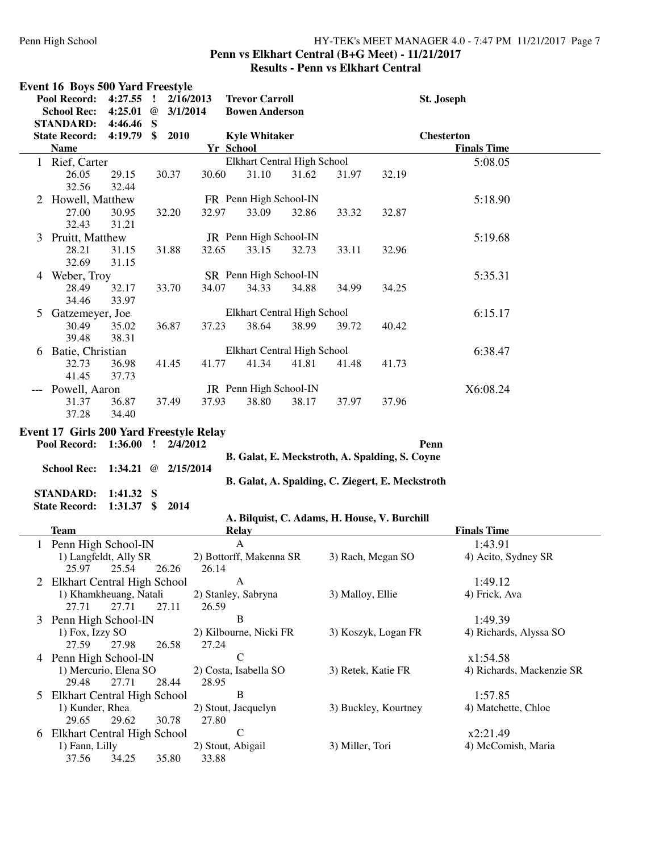#### Penn High School HY-TEK's MEET MANAGER 4.0 - 7:47 PM 11/21/2017 Page 7 **Penn vs Elkhart Central (B+G Meet) - 11/21/2017 Results - Penn vs Elkhart Central**

|                | <b>Event 16 Boys 500 Yard Freestyle</b> |                       |                             |                            |                             |       |                    |                                                  |                                |
|----------------|-----------------------------------------|-----------------------|-----------------------------|----------------------------|-----------------------------|-------|--------------------|--------------------------------------------------|--------------------------------|
|                | Pool Record:                            | 4:27.55               | Ţ                           | 2/16/2013                  | <b>Trevor Carroll</b>       |       |                    |                                                  | St. Joseph                     |
|                | <b>School Rec:</b>                      | 4:25.01               | $^{\copyright}$<br>3/1/2014 |                            | <b>Bowen Anderson</b>       |       |                    |                                                  |                                |
|                | <b>STANDARD:</b>                        | $4:46.46$ S           |                             |                            |                             |       |                    |                                                  |                                |
|                | <b>State Record:</b>                    | 4:19.79               | 2010<br>\$                  |                            | <b>Kyle Whitaker</b>        |       |                    |                                                  | <b>Chesterton</b>              |
|                | <b>Name</b>                             |                       |                             | Yr School                  |                             |       |                    |                                                  | <b>Finals Time</b>             |
|                | 1 Rief, Carter                          |                       |                             |                            | Elkhart Central High School |       |                    |                                                  | 5:08.05                        |
|                | 26.05                                   | 29.15                 | 30.37                       | 30.60                      | 31.10                       | 31.62 | 31.97              | 32.19                                            |                                |
|                | 32.56                                   | 32.44                 |                             |                            |                             |       |                    |                                                  |                                |
| $\overline{2}$ | Howell, Matthew                         |                       |                             |                            | FR Penn High School-IN      |       |                    |                                                  | 5:18.90                        |
|                | 27.00                                   | 30.95                 | 32.20                       | 32.97                      | 33.09                       | 32.86 | 33.32              | 32.87                                            |                                |
|                | 32.43                                   | 31.21                 |                             |                            |                             |       |                    |                                                  |                                |
|                |                                         |                       |                             |                            | JR Penn High School-IN      |       |                    |                                                  | 5:19.68                        |
| 3              | Pruitt, Matthew                         |                       |                             |                            |                             |       |                    |                                                  |                                |
|                | 28.21                                   | 31.15                 | 31.88                       | 32.65                      | 33.15                       | 32.73 | 33.11              | 32.96                                            |                                |
|                | 32.69                                   | 31.15                 |                             |                            |                             |       |                    |                                                  |                                |
|                | 4 Weber, Troy                           |                       |                             |                            | SR Penn High School-IN      |       |                    |                                                  | 5:35.31                        |
|                | 28.49                                   | 32.17                 | 33.70                       | 34.07                      | 34.33                       | 34.88 | 34.99              | 34.25                                            |                                |
|                | 34.46                                   | 33.97                 |                             |                            |                             |       |                    |                                                  |                                |
| 5              | Gatzemeyer, Joe                         |                       |                             |                            | Elkhart Central High School |       |                    |                                                  | 6:15.17                        |
|                | 30.49                                   | 35.02                 | 36.87                       | 37.23                      | 38.64                       | 38.99 | 39.72              | 40.42                                            |                                |
|                | 39.48                                   | 38.31                 |                             |                            |                             |       |                    |                                                  |                                |
|                | 6 Batie, Christian                      |                       |                             |                            | Elkhart Central High School |       |                    |                                                  | 6:38.47                        |
|                | 32.73                                   | 36.98                 | 41.45                       | 41.77                      | 41.34                       | 41.81 | 41.48              | 41.73                                            |                                |
|                | 41.45                                   | 37.73                 |                             |                            |                             |       |                    |                                                  |                                |
|                | Powell, Aaron                           |                       |                             |                            | JR Penn High School-IN      |       |                    |                                                  | X6:08.24                       |
|                | 31.37                                   | 36.87                 | 37.49                       | 37.93                      | 38.80                       | 38.17 | 37.97              | 37.96                                            |                                |
|                | 37.28                                   | 34.40                 |                             |                            |                             |       |                    |                                                  |                                |
|                | Event 17 Girls 200 Yard Freestyle Relay |                       |                             |                            |                             |       |                    |                                                  |                                |
|                | Pool Record:                            | 1:36.00               | $\mathbf{I}$<br>2/4/2012    |                            |                             |       |                    | Penn                                             |                                |
|                |                                         |                       |                             |                            |                             |       |                    | B. Galat, E. Meckstroth, A. Spalding, S. Coyne   |                                |
|                | <b>School Rec:</b>                      | 1:34.21 @ $2/15/2014$ |                             |                            |                             |       |                    |                                                  |                                |
|                |                                         |                       |                             |                            |                             |       |                    | B. Galat, A. Spalding, C. Ziegert, E. Meckstroth |                                |
|                | <b>STANDARD:</b>                        | $1:41.32$ S           |                             |                            |                             |       |                    |                                                  |                                |
|                | <b>State Record:</b>                    | $1:31.37$ \$          | 2014                        |                            |                             |       |                    |                                                  |                                |
|                |                                         |                       |                             |                            |                             |       |                    | A. Bilquist, C. Adams, H. House, V. Burchill     |                                |
|                | <b>Team</b>                             |                       |                             |                            | <b>Relay</b>                |       |                    |                                                  | <b>Finals Time</b>             |
|                | 1 Penn High School-IN                   |                       |                             |                            | $\mathbf{A}$                |       |                    |                                                  | 1:43.91                        |
|                | 1) Langfeldt, Ally SR                   |                       |                             |                            | 2) Bottorff, Makenna SR     |       |                    | 3) Rach, Megan SO                                | 4) Acito, Sydney SR            |
|                | 25.97                                   | 25.54                 | 26.26                       | 26.14                      |                             |       |                    |                                                  |                                |
|                | 2 Elkhart Central High School           |                       |                             |                            | A                           |       |                    |                                                  | 1:49.12                        |
|                | 1) Khamkheuang, Natali                  |                       |                             |                            | 2) Stanley, Sabryna         |       | 3) Malloy, Ellie   |                                                  | 4) Frick, Ava                  |
|                | 27.71                                   | 27.71                 | 27.11                       | 26.59                      |                             |       |                    |                                                  |                                |
| 3              | Penn High School-IN                     |                       |                             |                            | B                           |       |                    |                                                  | 1:49.39                        |
|                | 1) Fox, Izzy SO                         |                       |                             |                            | 2) Kilbourne, Nicki FR      |       |                    | 3) Koszyk, Logan FR                              | 4) Richards, Alyssa SO         |
|                | 27.59                                   | 27.98                 | 26.58                       | 27.24                      |                             |       |                    |                                                  |                                |
|                | 4 Penn High School-IN                   |                       |                             |                            | $\mathbf C$                 |       |                    |                                                  | x1:54.58                       |
|                | 1) Mercurio, Elena SO                   |                       |                             |                            | 2) Costa, Isabella SO       |       | 3) Retek, Katie FR |                                                  | 4) Richards, Mackenzie SR      |
|                | 29.48                                   | 27.71                 | 28.44                       | 28.95                      |                             |       |                    |                                                  |                                |
| 5              | <b>Elkhart Central High School</b>      |                       |                             |                            | B                           |       |                    |                                                  | 1:57.85                        |
|                | 1) Kunder, Rhea                         |                       |                             |                            | 2) Stout, Jacquelyn         |       |                    | 3) Buckley, Kourtney                             | 4) Matchette, Chloe            |
|                | 29.65                                   | 29.62                 | 30.78                       | 27.80                      |                             |       |                    |                                                  |                                |
|                |                                         |                       |                             |                            | $\mathbf C$                 |       |                    |                                                  |                                |
|                | 6 Elkhart Central High School           |                       |                             |                            |                             |       | 3) Miller, Tori    |                                                  | x2:21.49<br>4) McComish, Maria |
|                | 1) Fann, Lilly<br>37.56                 | 34.25                 | 35.80                       | 2) Stout, Abigail<br>33.88 |                             |       |                    |                                                  |                                |
|                |                                         |                       |                             |                            |                             |       |                    |                                                  |                                |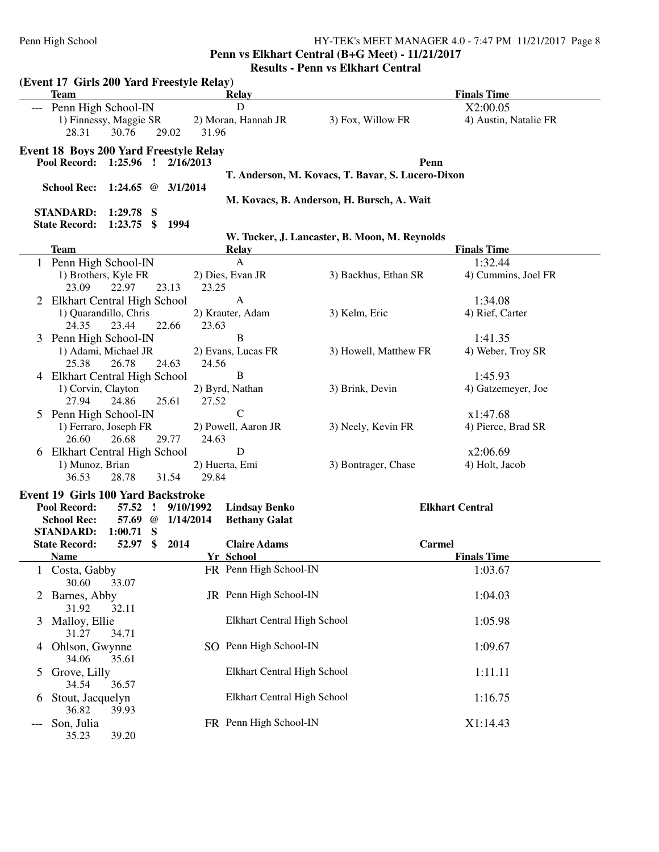**Penn vs Elkhart Central (B+G Meet) - 11/21/2017**

|               | (Event 17 Girls 200 Yard Freestyle Relay)                                                                                     |           |                                              |                                                   |                                |
|---------------|-------------------------------------------------------------------------------------------------------------------------------|-----------|----------------------------------------------|---------------------------------------------------|--------------------------------|
|               | <b>Team</b>                                                                                                                   |           | Relay<br>D                                   |                                                   | <b>Finals Time</b><br>X2:00.05 |
|               | Penn High School-IN<br>1) Finnessy, Maggie SR<br>28.31<br>30.76<br>29.02                                                      | 31.96     | 2) Moran, Hannah JR                          | 3) Fox, Willow FR                                 | 4) Austin, Natalie FR          |
|               | <b>Event 18 Boys 200 Yard Freestyle Relay</b>                                                                                 |           |                                              |                                                   |                                |
|               | Pool Record: 1:25.96 ! 2/16/2013                                                                                              |           |                                              | Penn                                              |                                |
|               |                                                                                                                               |           |                                              | T. Anderson, M. Kovacs, T. Bavar, S. Lucero-Dixon |                                |
|               | School Rec: 1:24.65 @ 3/1/2014                                                                                                |           |                                              | M. Kovacs, B. Anderson, H. Bursch, A. Wait        |                                |
|               | <b>STANDARD:</b><br>$1:29.78$ S                                                                                               |           |                                              |                                                   |                                |
|               | $1:23.75$ \$<br><b>State Record:</b><br>1994                                                                                  |           |                                              |                                                   |                                |
|               | <b>Team</b>                                                                                                                   |           | <b>Relay</b>                                 | W. Tucker, J. Lancaster, B. Moon, M. Reynolds     | <b>Finals Time</b>             |
|               | 1 Penn High School-IN                                                                                                         |           | $\mathbf{A}$                                 |                                                   | 1:32.44                        |
|               | 1) Brothers, Kyle FR<br>23.09<br>22.97<br>23.13                                                                               | 23.25     | 2) Dies, Evan JR                             | 3) Backhus, Ethan SR                              | 4) Cummins, Joel FR            |
|               | 2 Elkhart Central High School                                                                                                 |           | $\mathbf{A}$                                 |                                                   | 1:34.08                        |
|               | 1) Quarandillo, Chris                                                                                                         |           | 2) Krauter, Adam                             | 3) Kelm, Eric                                     | 4) Rief, Carter                |
|               | 24.35<br>23.44<br>22.66                                                                                                       | 23.63     |                                              |                                                   |                                |
|               | 3 Penn High School-IN<br>1) Adami, Michael JR                                                                                 |           | B<br>2) Evans, Lucas FR                      | 3) Howell, Matthew FR                             | 1:41.35<br>4) Weber, Troy SR   |
|               | 25.38<br>26.78<br>24.63                                                                                                       | 24.56     |                                              |                                                   |                                |
|               | 4 Elkhart Central High School                                                                                                 |           | $\bf{B}$                                     |                                                   | 1:45.93                        |
|               | 1) Corvin, Clayton<br>25.61<br>27.94<br>24.86                                                                                 | 27.52     | 2) Byrd, Nathan                              | 3) Brink, Devin                                   | 4) Gatzemeyer, Joe             |
|               | 5 Penn High School-IN                                                                                                         |           | $\mathcal{C}$                                |                                                   | x1:47.68                       |
|               | 1) Ferraro, Joseph FR<br>26.60<br>26.68<br>29.77                                                                              | 24.63     | 2) Powell, Aaron JR                          | 3) Neely, Kevin FR                                | 4) Pierce, Brad SR             |
|               | 6 Elkhart Central High School                                                                                                 |           | D                                            |                                                   | x2:06.69                       |
|               | 1) Munoz, Brian<br>31.54<br>36.53<br>28.78                                                                                    | 29.84     | 2) Huerta, Emi                               | 3) Bontrager, Chase                               | 4) Holt, Jacob                 |
|               | <b>Event 19 Girls 100 Yard Backstroke</b><br>Pool Record:<br>57.52<br>$\mathbf{r}$<br>57.69 @ 1/14/2014<br><b>School Rec:</b> | 9/10/1992 | <b>Lindsay Benko</b><br><b>Bethany Galat</b> |                                                   | <b>Elkhart Central</b>         |
|               | <b>STANDARD:</b><br>$1:00.71$ S<br>\$<br>2014<br>52.97<br><b>State Record:</b>                                                |           | <b>Claire Adams</b>                          | <b>Carmel</b>                                     |                                |
|               | <b>Name</b>                                                                                                                   |           | Yr School                                    |                                                   | <b>Finals Time</b>             |
|               | 1 Costa, Gabby<br>30.60<br>33.07                                                                                              |           | FR Penn High School-IN                       |                                                   | 1:03.67                        |
|               | Barnes, Abby<br>31.92<br>32.11                                                                                                |           | JR Penn High School-IN                       |                                                   | 1:04.03                        |
| 3             | Malloy, Ellie<br>31.27<br>34.71                                                                                               |           | Elkhart Central High School                  |                                                   | 1:05.98                        |
| 4             | Ohlson, Gwynne<br>34.06<br>35.61                                                                                              |           | SO Penn High School-IN                       |                                                   | 1:09.67                        |
| $\mathcal{L}$ | Grove, Lilly<br>34.54<br>36.57                                                                                                |           | Elkhart Central High School                  |                                                   | 1:11.11                        |
| 0             | Stout, Jacquelyn<br>36.82<br>39.93                                                                                            |           | Elkhart Central High School                  |                                                   | 1:16.75                        |
|               | Son, Julia<br>35.23<br>39.20                                                                                                  |           | FR Penn High School-IN                       |                                                   | X1:14.43                       |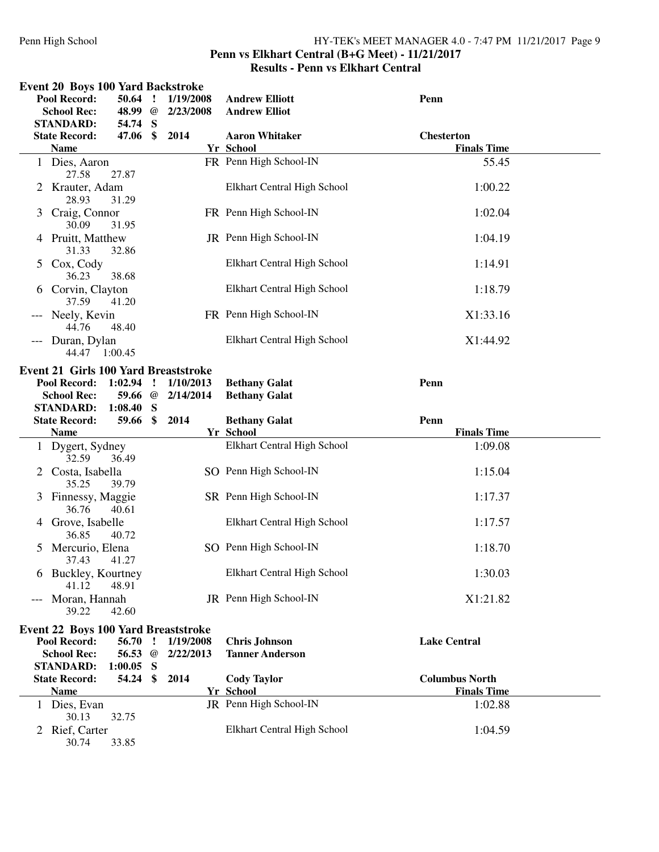#### Penn High School HY-TEK's MEET MANAGER 4.0 - 7:47 PM 11/21/2017 Page 9 **Penn vs Elkhart Central (B+G Meet) - 11/21/2017 Results - Penn vs Elkhart Central**

|               | <b>Event 20 Boys 100 Yard Backstroke</b><br>Pool Record:<br><b>School Rec:</b><br><b>STANDARD:</b> | 50.64<br>48.99 @<br>54.74 S | - 1           | 1/19/2008<br>2/23/2008 | <b>Andrew Elliott</b><br><b>Andrew Elliot</b>  | Penn                  |  |
|---------------|----------------------------------------------------------------------------------------------------|-----------------------------|---------------|------------------------|------------------------------------------------|-----------------------|--|
|               | <b>State Record:</b>                                                                               | 47.06                       | \$            | 2014                   | <b>Aaron Whitaker</b>                          | <b>Chesterton</b>     |  |
|               | <b>Name</b>                                                                                        |                             |               |                        | Yr School                                      | <b>Finals Time</b>    |  |
|               | 1 Dies, Aaron<br>27.58                                                                             | 27.87                       |               |                        | FR Penn High School-IN                         | 55.45                 |  |
|               | Krauter, Adam<br>28.93                                                                             | 31.29                       |               |                        | Elkhart Central High School                    | 1:00.22               |  |
| 3             | Craig, Connor<br>30.09                                                                             | 31.95                       |               |                        | FR Penn High School-IN                         | 1:02.04               |  |
|               | 4 Pruitt, Matthew<br>31.33                                                                         | 32.86                       |               |                        | JR Penn High School-IN                         | 1:04.19               |  |
| $\mathcal{L}$ | Cox, Cody<br>36.23                                                                                 | 38.68                       |               |                        | Elkhart Central High School                    | 1:14.91               |  |
| 6             | Corvin, Clayton<br>37.59                                                                           | 41.20                       |               |                        | Elkhart Central High School                    | 1:18.79               |  |
|               | Neely, Kevin<br>44.76                                                                              | 48.40                       |               |                        | FR Penn High School-IN                         | X1:33.16              |  |
|               | Duran, Dylan<br>44.47 1:00.45                                                                      |                             |               |                        | Elkhart Central High School                    | X1:44.92              |  |
|               |                                                                                                    |                             |               |                        |                                                |                       |  |
|               | <b>Event 21 Girls 100 Yard Breaststroke</b>                                                        |                             |               |                        |                                                |                       |  |
|               | Pool Record:                                                                                       | 1:02.94                     | $\mathbf{I}$  | 1/10/2013              | <b>Bethany Galat</b>                           | Penn                  |  |
|               | <b>School Rec:</b>                                                                                 | 59.66                       | @             | 2/14/2014              | <b>Bethany Galat</b>                           |                       |  |
|               | <b>STANDARD:</b>                                                                                   | 1:08.40                     | S             |                        |                                                |                       |  |
|               |                                                                                                    |                             |               |                        |                                                |                       |  |
|               | <b>State Record:</b>                                                                               | 59.66                       | $\mathbf{\$}$ | 2014                   | <b>Bethany Galat</b>                           | Penn                  |  |
|               | <b>Name</b>                                                                                        |                             |               |                        | Yr School                                      | <b>Finals Time</b>    |  |
|               | 1 Dygert, Sydney<br>32.59                                                                          | 36.49                       |               |                        | Elkhart Central High School                    | 1:09.08               |  |
| 2             | Costa, Isabella<br>35.25                                                                           | 39.79                       |               |                        | SO Penn High School-IN                         | 1:15.04               |  |
| 3             | Finnessy, Maggie<br>36.76                                                                          | 40.61                       |               |                        | SR Penn High School-IN                         | 1:17.37               |  |
| 4             | Grove, Isabelle<br>36.85                                                                           | 40.72                       |               |                        | Elkhart Central High School                    | 1:17.57               |  |
| 5.            | Mercurio, Elena<br>37.43 41.27                                                                     |                             |               |                        | SO Penn High School-IN                         | 1:18.70               |  |
|               | 6 Buckley, Kourtney<br>41.12                                                                       | 48.91                       |               |                        | Elkhart Central High School                    | 1:30.03               |  |
|               | Moran, Hannah<br>39.22                                                                             | 42.60                       |               |                        | JR Penn High School-IN                         | X1:21.82              |  |
|               |                                                                                                    |                             |               |                        |                                                |                       |  |
|               | <b>Event 22 Boys 100 Yard Breaststroke</b>                                                         |                             |               |                        |                                                |                       |  |
|               | Pool Record:<br><b>School Rec:</b>                                                                 | 56.70<br>56.53 @            | $\cdot$       | 1/19/2008<br>2/22/2013 | <b>Chris Johnson</b><br><b>Tanner Anderson</b> | <b>Lake Central</b>   |  |
|               | <b>STANDARD:</b><br><b>State Record:</b>                                                           | $1:00.05$ S<br>54.24 \$     |               | 2014                   | <b>Cody Taylor</b>                             | <b>Columbus North</b> |  |
|               | <b>Name</b>                                                                                        |                             |               |                        | Yr School                                      | <b>Finals Time</b>    |  |
|               | 1 Dies, Evan<br>30.13                                                                              | 32.75                       |               |                        | JR Penn High School-IN                         | 1:02.88               |  |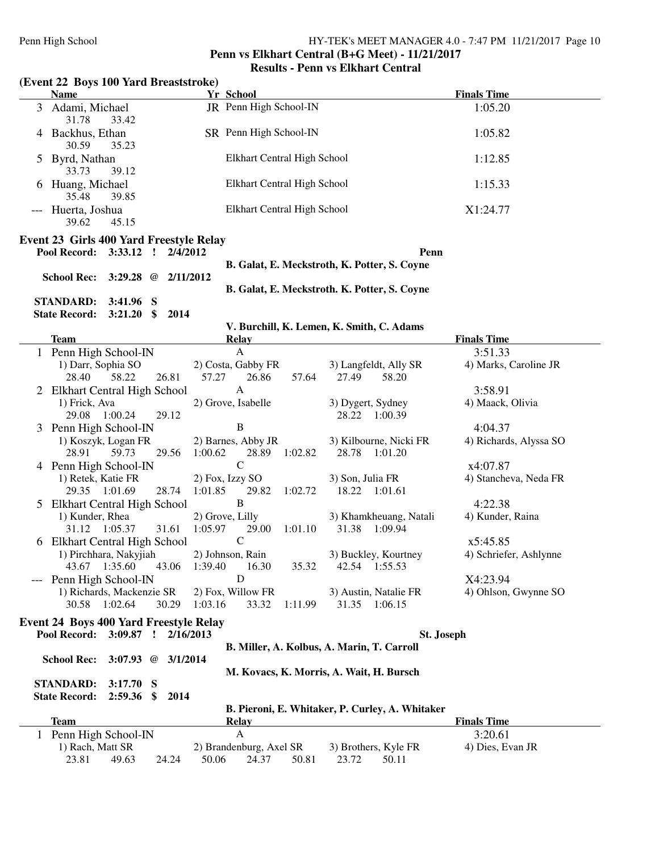#### **Penn vs Elkhart Central (B+G Meet) - 11/21/2017 Results - Penn vs Elkhart Central**

# **(Event 22 Boys 100 Yard Breaststroke)**

| <b>Name</b>                                                                       | Yr School                                          |                                                 | <b>Finals Time</b>     |
|-----------------------------------------------------------------------------------|----------------------------------------------------|-------------------------------------------------|------------------------|
| 3 Adami, Michael<br>31.78<br>33.42                                                | JR Penn High School-IN                             |                                                 | 1:05.20                |
| 4 Backhus, Ethan<br>30.59<br>35.23                                                | SR Penn High School-IN                             |                                                 | 1:05.82                |
| 5 Byrd, Nathan<br>33.73<br>39.12                                                  | Elkhart Central High School                        |                                                 | 1:12.85                |
| 6 Huang, Michael<br>35.48<br>39.85                                                | Elkhart Central High School                        |                                                 | 1:15.33                |
| --- Huerta, Joshua<br>39.62<br>45.15                                              | Elkhart Central High School                        |                                                 | X1:24.77               |
| <b>Event 23 Girls 400 Yard Freestyle Relay</b>                                    |                                                    |                                                 |                        |
| Pool Record: 3:33.12 ! 2/4/2012                                                   |                                                    | Penn                                            |                        |
| School Rec: 3:29.28 @ 2/11/2012                                                   |                                                    | B. Galat, E. Meckstroth, K. Potter, S. Coyne    |                        |
|                                                                                   |                                                    | B. Galat, E. Meckstroth. K. Potter, S. Coyne    |                        |
| <b>STANDARD: 3:41.96 S</b>                                                        |                                                    |                                                 |                        |
| State Record: 3:21.20 \$ 2014                                                     |                                                    |                                                 |                        |
|                                                                                   | V. Burchill, K. Lemen, K. Smith, C. Adams          |                                                 |                        |
| <b>Team</b>                                                                       | <b>Relay</b>                                       |                                                 | <b>Finals Time</b>     |
| 1 Penn High School-IN                                                             | $\mathbf{A}$                                       |                                                 | 3:51.33                |
| 1) Darr, Sophia SO                                                                | 2) Costa, Gabby FR                                 | 3) Langfeldt, Ally SR                           | 4) Marks, Caroline JR  |
| 26.81<br>28.40<br>58.22                                                           | 57.64<br>57.27<br>26.86                            | 27.49<br>58.20                                  |                        |
| 2 Elkhart Central High School                                                     | $\mathbf{A}$                                       |                                                 | 3:58.91                |
| 1) Frick, Ava<br>29.12<br>29.08 1:00.24                                           | 2) Grove, Isabelle                                 | 3) Dygert, Sydney<br>28.22 1:00.39              | 4) Maack, Olivia       |
| 3 Penn High School-IN                                                             | $\, {\bf B}$                                       |                                                 | 4:04.37                |
| 1) Koszyk, Logan FR<br>59.73<br>29.56<br>28.91                                    | 2) Barnes, Abby JR<br>1:00.62<br>28.89<br>1:02.82  | 3) Kilbourne, Nicki FR<br>28.78 1:01.20         | 4) Richards, Alyssa SO |
| 4 Penn High School-IN                                                             | $\mathbf C$                                        |                                                 | x4:07.87               |
| 1) Retek, Katie FR<br>28.74<br>29.35 1:01.69                                      | 2) Fox, Izzy SO<br>1:01.85<br>29.82<br>1:02.72     | 3) Son, Julia FR<br>18.22<br>1:01.61            | 4) Stancheva, Neda FR  |
| 5 Elkhart Central High School                                                     | B                                                  |                                                 | 4:22.38                |
| 1) Kunder, Rhea<br>31.61<br>31.12 1:05.37                                         | 2) Grove, Lilly<br>1:05.97<br>1:01.10<br>29.00     | 3) Khamkheuang, Natali<br>31.38 1:09.94         | 4) Kunder, Raina       |
| 6 Elkhart Central High School                                                     | $\mathbf C$                                        |                                                 | x5:45.85               |
| 1) Pirchhara, Nakyjiah<br>43.67 1:35.60<br>43.06                                  | 2) Johnson, Rain<br>1:39.40<br>16.30<br>35.32      | 3) Buckley, Kourtney<br>42.54 1:55.53           | 4) Schriefer, Ashlynne |
| Penn High School-IN                                                               | D                                                  |                                                 | X4:23.94               |
| 1) Richards, Mackenzie SR<br>30.58 1:02.64<br>30.29                               | 2) Fox, Willow FR<br>33.32<br>1:11.99<br>1:03.16   | 3) Austin, Natalie FR<br>31.35<br>1:06.15       | 4) Ohlson, Gwynne SO   |
| <b>Event 24 Boys 400 Yard Freestyle Relay</b>                                     |                                                    |                                                 |                        |
| Pool Record: 3:09.87 !<br>2/16/2013                                               |                                                    | St. Joseph                                      |                        |
|                                                                                   | B. Miller, A. Kolbus, A. Marin, T. Carroll         |                                                 |                        |
| <b>School Rec:</b><br>3:07.93 $@$<br>3/1/2014                                     |                                                    |                                                 |                        |
|                                                                                   | M. Kovacs, K. Morris, A. Wait, H. Bursch           |                                                 |                        |
| <b>STANDARD:</b><br>3:17.70<br>S<br><b>State Record:</b><br>2:59.36<br>\$<br>2014 |                                                    |                                                 |                        |
|                                                                                   |                                                    | B. Pieroni, E. Whitaker, P. Curley, A. Whitaker |                        |
| <b>Team</b>                                                                       | <b>Relay</b>                                       |                                                 | <b>Finals Time</b>     |
| 1 Penn High School-IN                                                             | $\mathbf{A}$                                       |                                                 | 3:20.61                |
| 1) Rach, Matt SR<br>23.81<br>49.63<br>24.24                                       | 2) Brandenburg, Axel SR<br>50.06<br>50.81<br>24.37 | 3) Brothers, Kyle FR<br>23.72<br>50.11          | 4) Dies, Evan JR       |